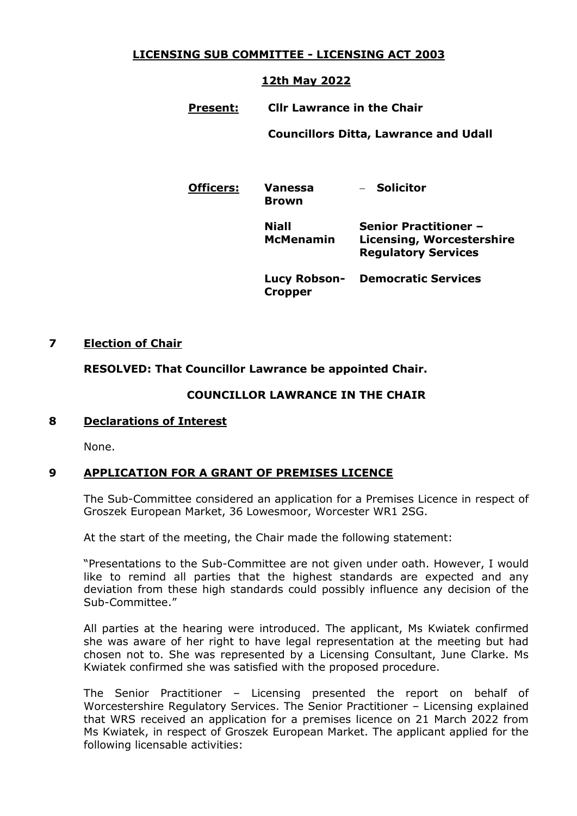# **LICENSING SUB COMMITTEE - LICENSING ACT 2003**

# **12th May 2022**

**Present: Cllr Lawrance in the Chair**

**Councillors Ditta, Lawrance and Udall**

**Officers: Vanessa Brown**

**Solicitor**

**Niall McMenamin Senior Practitioner – Licensing, Worcestershire Regulatory Services**

**Lucy Robson-Democratic Services Cropper**

# **7 Election of Chair**

# **RESOLVED: That Councillor Lawrance be appointed Chair.**

### **COUNCILLOR LAWRANCE IN THE CHAIR**

### **8 Declarations of Interest**

None.

### **9 APPLICATION FOR A GRANT OF PREMISES LICENCE**

The Sub-Committee considered an application for a Premises Licence in respect of Groszek European Market, 36 Lowesmoor, Worcester WR1 2SG.

At the start of the meeting, the Chair made the following statement:

"Presentations to the Sub-Committee are not given under oath. However, I would like to remind all parties that the highest standards are expected and any deviation from these high standards could possibly influence any decision of the Sub-Committee."

All parties at the hearing were introduced. The applicant, Ms Kwiatek confirmed she was aware of her right to have legal representation at the meeting but had chosen not to. She was represented by a Licensing Consultant, June Clarke. Ms Kwiatek confirmed she was satisfied with the proposed procedure.

The Senior Practitioner – Licensing presented the report on behalf of Worcestershire Regulatory Services. The Senior Practitioner – Licensing explained that WRS received an application for a premises licence on 21 March 2022 from Ms Kwiatek, in respect of Groszek European Market. The applicant applied for the following licensable activities: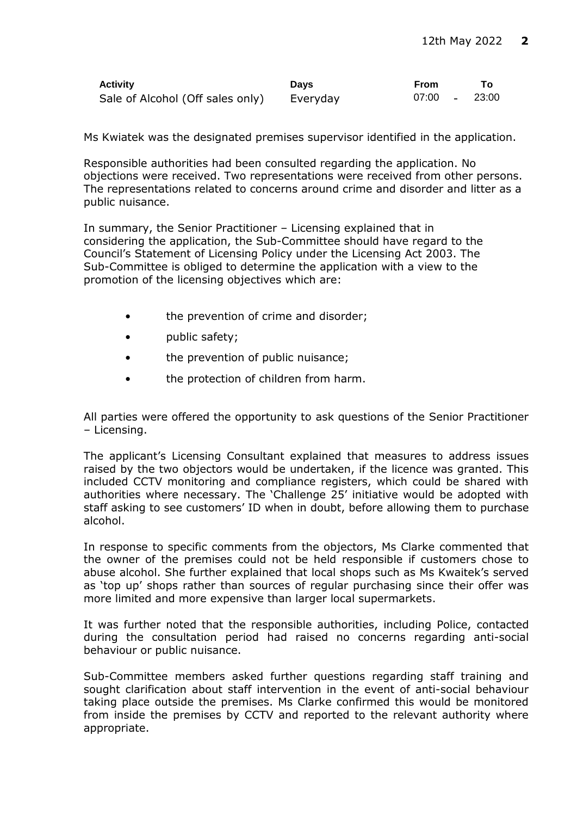| <b>Activity</b>                  | <b>Davs</b> | <b>From</b> |       |
|----------------------------------|-------------|-------------|-------|
| Sale of Alcohol (Off sales only) | Everyday    | $07:00 -$   | 23:00 |

Ms Kwiatek was the designated premises supervisor identified in the application.

Responsible authorities had been consulted regarding the application. No objections were received. Two representations were received from other persons. The representations related to concerns around crime and disorder and litter as a public nuisance.

In summary, the Senior Practitioner – Licensing explained that in considering the application, the Sub-Committee should have regard to the Council's Statement of Licensing Policy under the Licensing Act 2003. The Sub-Committee is obliged to determine the application with a view to the promotion of the licensing objectives which are:

- the prevention of crime and disorder;
- public safety;
- the prevention of public nuisance;
- the protection of children from harm.

All parties were offered the opportunity to ask questions of the Senior Practitioner – Licensing.

The applicant's Licensing Consultant explained that measures to address issues raised by the two objectors would be undertaken, if the licence was granted. This included CCTV monitoring and compliance registers, which could be shared with authorities where necessary. The 'Challenge 25' initiative would be adopted with staff asking to see customers' ID when in doubt, before allowing them to purchase alcohol.

In response to specific comments from the objectors, Ms Clarke commented that the owner of the premises could not be held responsible if customers chose to abuse alcohol. She further explained that local shops such as Ms Kwaitek's served as 'top up' shops rather than sources of regular purchasing since their offer was more limited and more expensive than larger local supermarkets.

It was further noted that the responsible authorities, including Police, contacted during the consultation period had raised no concerns regarding anti-social behaviour or public nuisance.

Sub-Committee members asked further questions regarding staff training and sought clarification about staff intervention in the event of anti-social behaviour taking place outside the premises. Ms Clarke confirmed this would be monitored from inside the premises by CCTV and reported to the relevant authority where appropriate.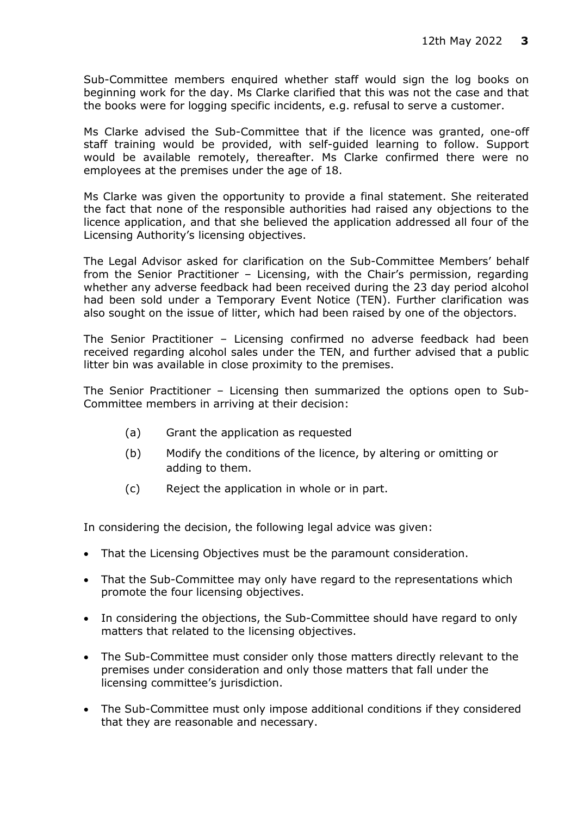Sub-Committee members enquired whether staff would sign the log books on beginning work for the day. Ms Clarke clarified that this was not the case and that the books were for logging specific incidents, e.g. refusal to serve a customer.

Ms Clarke advised the Sub-Committee that if the licence was granted, one-off staff training would be provided, with self-guided learning to follow. Support would be available remotely, thereafter. Ms Clarke confirmed there were no employees at the premises under the age of 18.

Ms Clarke was given the opportunity to provide a final statement. She reiterated the fact that none of the responsible authorities had raised any objections to the licence application, and that she believed the application addressed all four of the Licensing Authority's licensing objectives.

The Legal Advisor asked for clarification on the Sub-Committee Members' behalf from the Senior Practitioner – Licensing, with the Chair's permission, regarding whether any adverse feedback had been received during the 23 day period alcohol had been sold under a Temporary Event Notice (TEN). Further clarification was also sought on the issue of litter, which had been raised by one of the objectors.

The Senior Practitioner – Licensing confirmed no adverse feedback had been received regarding alcohol sales under the TEN, and further advised that a public litter bin was available in close proximity to the premises.

The Senior Practitioner – Licensing then summarized the options open to Sub-Committee members in arriving at their decision:

- (a) Grant the application as requested
- (b) Modify the conditions of the licence, by altering or omitting or adding to them.
- (c) Reject the application in whole or in part.

In considering the decision, the following legal advice was given:

- That the Licensing Objectives must be the paramount consideration.
- That the Sub-Committee may only have regard to the representations which promote the four licensing objectives.
- In considering the objections, the Sub-Committee should have regard to only matters that related to the licensing objectives.
- The Sub-Committee must consider only those matters directly relevant to the premises under consideration and only those matters that fall under the licensing committee's jurisdiction.
- The Sub-Committee must only impose additional conditions if they considered that they are reasonable and necessary.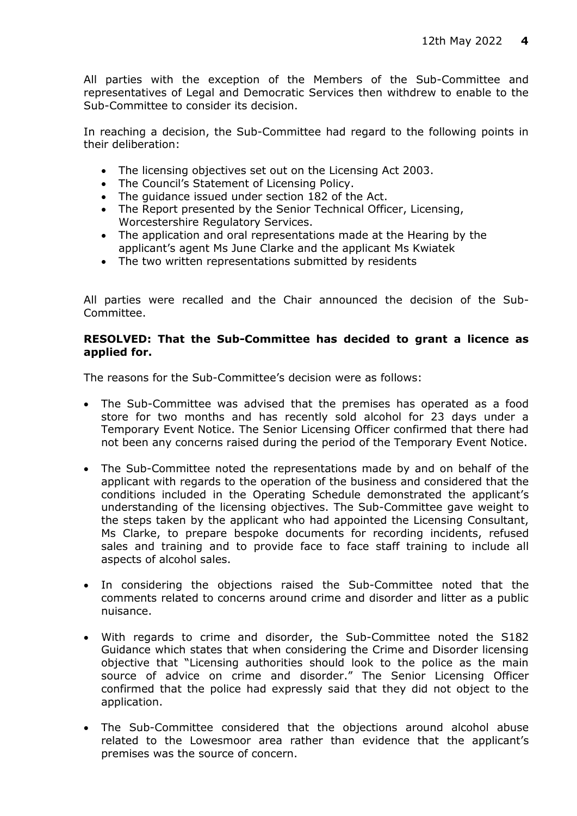All parties with the exception of the Members of the Sub-Committee and representatives of Legal and Democratic Services then withdrew to enable to the Sub-Committee to consider its decision.

In reaching a decision, the Sub-Committee had regard to the following points in their deliberation:

- The licensing objectives set out on the Licensing Act 2003.
- The Council's Statement of Licensing Policy.
- The guidance issued under section 182 of the Act.
- The Report presented by the Senior Technical Officer, Licensing, Worcestershire Regulatory Services.
- The application and oral representations made at the Hearing by the applicant's agent Ms June Clarke and the applicant Ms Kwiatek
- The two written representations submitted by residents

All parties were recalled and the Chair announced the decision of the Sub-Committee.

#### **RESOLVED: That the Sub-Committee has decided to grant a licence as applied for.**

The reasons for the Sub-Committee's decision were as follows:

- The Sub-Committee was advised that the premises has operated as a food store for two months and has recently sold alcohol for 23 days under a Temporary Event Notice. The Senior Licensing Officer confirmed that there had not been any concerns raised during the period of the Temporary Event Notice.
- The Sub-Committee noted the representations made by and on behalf of the applicant with regards to the operation of the business and considered that the conditions included in the Operating Schedule demonstrated the applicant's understanding of the licensing objectives. The Sub-Committee gave weight to the steps taken by the applicant who had appointed the Licensing Consultant, Ms Clarke, to prepare bespoke documents for recording incidents, refused sales and training and to provide face to face staff training to include all aspects of alcohol sales.
- In considering the objections raised the Sub-Committee noted that the comments related to concerns around crime and disorder and litter as a public nuisance.
- With regards to crime and disorder, the Sub-Committee noted the S182 Guidance which states that when considering the Crime and Disorder licensing objective that "Licensing authorities should look to the police as the main source of advice on crime and disorder." The Senior Licensing Officer confirmed that the police had expressly said that they did not object to the application.
- The Sub-Committee considered that the objections around alcohol abuse related to the Lowesmoor area rather than evidence that the applicant's premises was the source of concern.